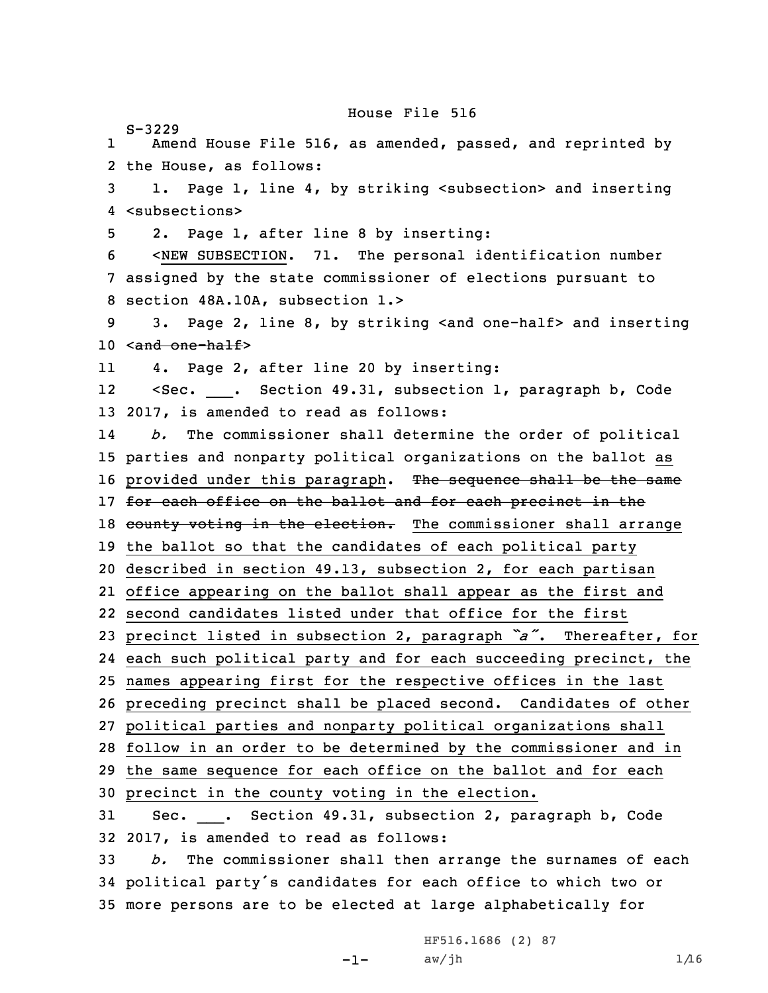House File 516

S-3229 1 Amend House File 516, as amended, passed, and reprinted by the House, as follows: 1. Page 1, line 4, by striking <subsection> and inserting <subsections> 2. Page 1, after line 8 by inserting: <NEW SUBSECTION. 71. The personal identification number assigned by the state commissioner of elections pursuant to section 48A.10A, subsection 1.> 3. Page 2, line 8, by striking <and one-half> and inserting 10 <and one-half> 11 4. Page 2, after line 20 by inserting: 1212 <Sec. \_\_\_. Section 49.31, subsection 1, paragraph b, Code 2017, is amended to read as follows: 14 *b.* The commissioner shall determine the order of political parties and nonparty political organizations on the ballot as 16 provided under this paragraph. The sequence shall be the same 17 for each office on the ballot and for each precinct in the 18 county voting in the election. The commissioner shall arrange the ballot so that the candidates of each political party described in section 49.13, subsection 2, for each partisan office appearing on the ballot shall appear as the first and second candidates listed under that office for the first precinct listed in subsection 2, paragraph *"a"*. Thereafter, for each such political party and for each succeeding precinct, the names appearing first for the respective offices in the last preceding precinct shall be placed second. Candidates of other political parties and nonparty political organizations shall follow in an order to be determined by the commissioner and in the same sequence for each office on the ballot and for each precinct in the county voting in the election. Sec. \_\_\_. Section 49.31, subsection 2, paragraph b, Code 2017, is amended to read as follows: *b.* The commissioner shall then arrange the surnames of each political party's candidates for each office to which two or more persons are to be elected at large alphabetically for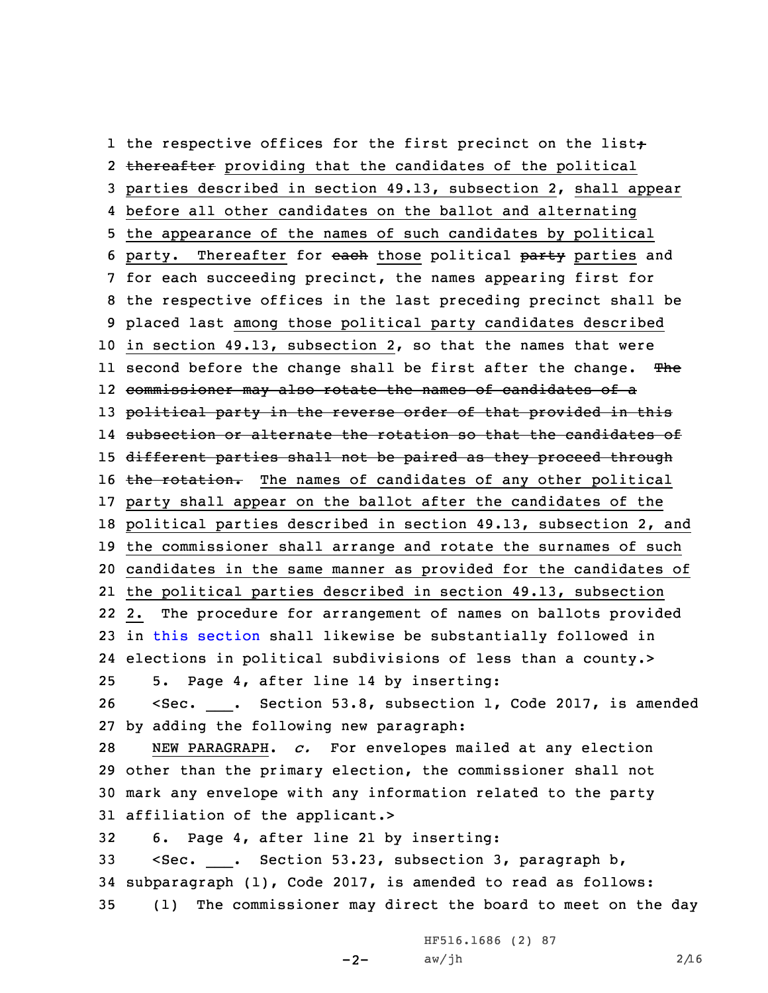1 the respective offices for the first precinct on the list; 2 thereafter providing that the candidates of the political parties described in section 49.13, subsection 2, shall appear before all other candidates on the ballot and alternating the appearance of the names of such candidates by political 6 party. Thereafter for each those political party parties and for each succeeding precinct, the names appearing first for the respective offices in the last preceding precinct shall be placed last among those political party candidates described in section 49.13, subsection 2, so that the names that were ll second before the change shall be first after the change. <del>Th</del>e commissioner may also rotate the names of candidates of <sup>a</sup> 13 political party in the reverse order of that provided in this subsection or alternate the rotation so that the candidates of 15 different parties shall not be paired as they proceed through 16 the rotation. The names of candidates of any other political party shall appear on the ballot after the candidates of the political parties described in section 49.13, subsection 2, and the commissioner shall arrange and rotate the surnames of such candidates in the same manner as provided for the candidates of the political parties described in section 49.13, subsection 2. The procedure for arrangement of names on ballots provided in this [section](https://www.legis.iowa.gov/docs/code/49.31.pdf) shall likewise be substantially followed in elections in political subdivisions of less than <sup>a</sup> county.> 5. Page 4, after line 14 by inserting: <Sec. \_\_\_. Section 53.8, subsection 1, Code 2017, is amended by adding the following new paragraph: NEW PARAGRAPH. *c.* For envelopes mailed at any election other than the primary election, the commissioner shall not mark any envelope with any information related to the party affiliation of the applicant.> 6. Page 4, after line 21 by inserting: <Sec. \_\_\_. Section 53.23, subsection 3, paragraph b, subparagraph (1), Code 2017, is amended to read as follows: (1) The commissioner may direct the board to meet on the day

> -2-HF516.1686 (2) 87 aw/jh  $2/16$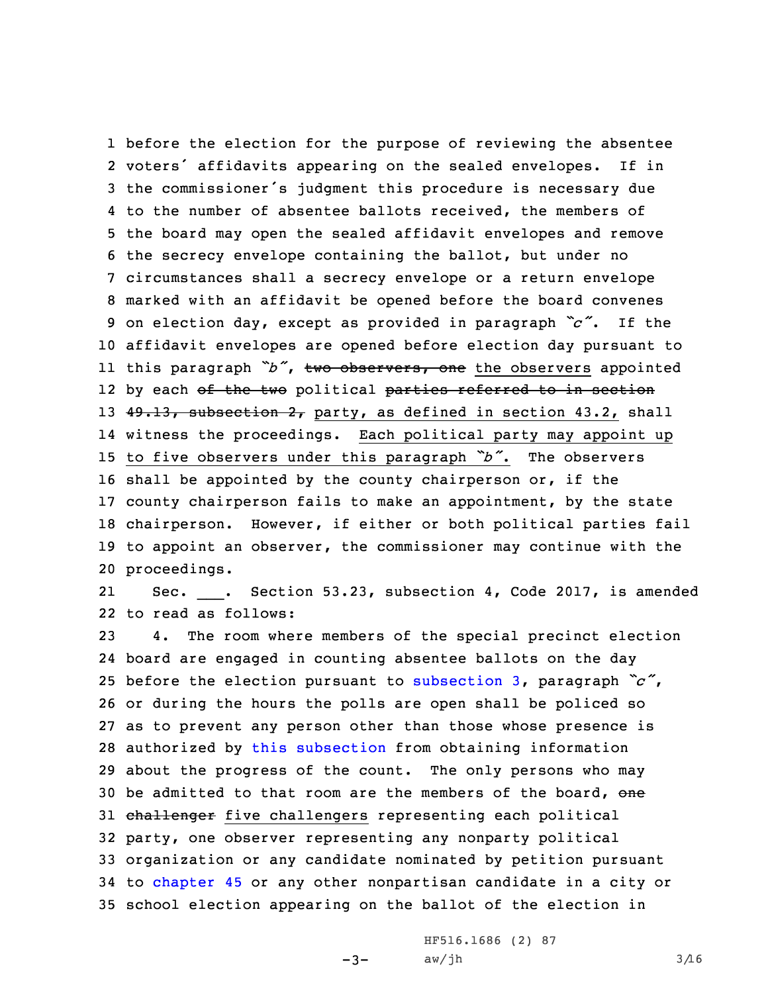before the election for the purpose of reviewing the absentee voters' affidavits appearing on the sealed envelopes. If in the commissioner's judgment this procedure is necessary due to the number of absentee ballots received, the members of the board may open the sealed affidavit envelopes and remove the secrecy envelope containing the ballot, but under no circumstances shall <sup>a</sup> secrecy envelope or <sup>a</sup> return envelope marked with an affidavit be opened before the board convenes on election day, except as provided in paragraph *"c"*. If the affidavit envelopes are opened before election day pursuant to this paragraph *"b"*, two observers, one the observers appointed 12 by each <del>of the two</del> political <del>parties referred to in section</del> 13 49.13, subsection 2, party, as defined in section 43.2, shall witness the proceedings. Each political party may appoint up to five observers under this paragraph *"b"*. The observers shall be appointed by the county chairperson or, if the county chairperson fails to make an appointment, by the state chairperson. However, if either or both political parties fail to appoint an observer, the commissioner may continue with the proceedings.

2121 Sec. \_\_\_. Section 53.23, subsection 4, Code 2017, is amended 22 to read as follows:

 4. The room where members of the special precinct election board are engaged in counting absentee ballots on the day before the election pursuant to [subsection](https://www.legis.iowa.gov/docs/code/53.23.pdf) 3, paragraph *"c"*, or during the hours the polls are open shall be policed so as to prevent any person other than those whose presence is authorized by this [subsection](https://www.legis.iowa.gov/docs/code/53.23.pdf) from obtaining information about the progress of the count. The only persons who may 30 be admitted to that room are the members of the board, one 31 challenger five challengers representing each political party, one observer representing any nonparty political organization or any candidate nominated by petition pursuant to [chapter](https://www.legis.iowa.gov/docs/code//45.pdf) 45 or any other nonpartisan candidate in <sup>a</sup> city or school election appearing on the ballot of the election in

 $-3-$ 

HF516.1686 (2) 87  $aw/jh$  3/16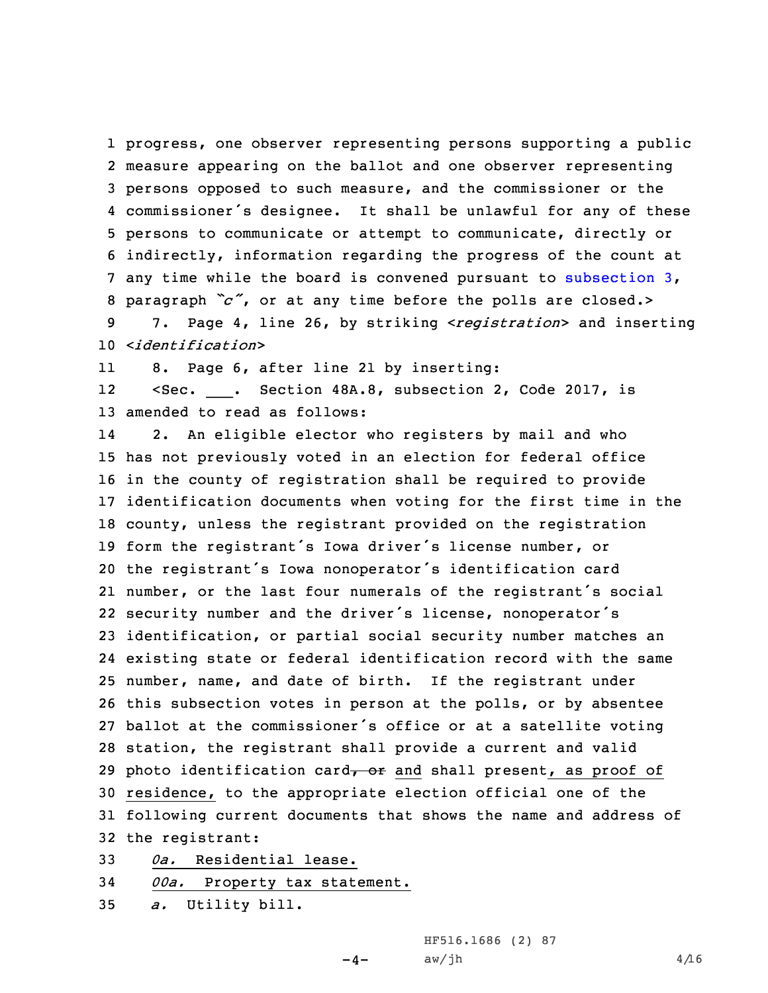progress, one observer representing persons supporting <sup>a</sup> public measure appearing on the ballot and one observer representing persons opposed to such measure, and the commissioner or the commissioner's designee. It shall be unlawful for any of these persons to communicate or attempt to communicate, directly or indirectly, information regarding the progress of the count at any time while the board is convened pursuant to [subsection](https://www.legis.iowa.gov/docs/code/53.23.pdf) 3, paragraph *"c"*, or at any time before the polls are closed.> 7. Page 4, line 26, by striking <sup>&</sup>lt;*registration*<sup>&</sup>gt; and inserting

10 <sup>&</sup>lt;*identification*<sup>&</sup>gt;

118. Page 6, after line 21 by inserting:

1212 <Sec. \_\_\_. Section 48A.8, subsection 2, Code 2017, is 13 amended to read as follows:

14 2. An eligible elector who registers by mail and who has not previously voted in an election for federal office in the county of registration shall be required to provide identification documents when voting for the first time in the county, unless the registrant provided on the registration form the registrant's Iowa driver's license number, or the registrant's Iowa nonoperator's identification card number, or the last four numerals of the registrant's social security number and the driver's license, nonoperator's identification, or partial social security number matches an existing state or federal identification record with the same number, name, and date of birth. If the registrant under this subsection votes in person at the polls, or by absentee ballot at the commissioner's office or at <sup>a</sup> satellite voting station, the registrant shall provide <sup>a</sup> current and valid 29 photo identification card $\tau$  or and shall present, as proof of residence, to the appropriate election official one of the following current documents that shows the name and address of the registrant:

 $-4-$ 

33 *0a.* Residential lease.

```
34 00a. Property tax statement.
```
35 *a.* Utility bill.

HF516.1686 (2) 87  $aw/jh$  4/16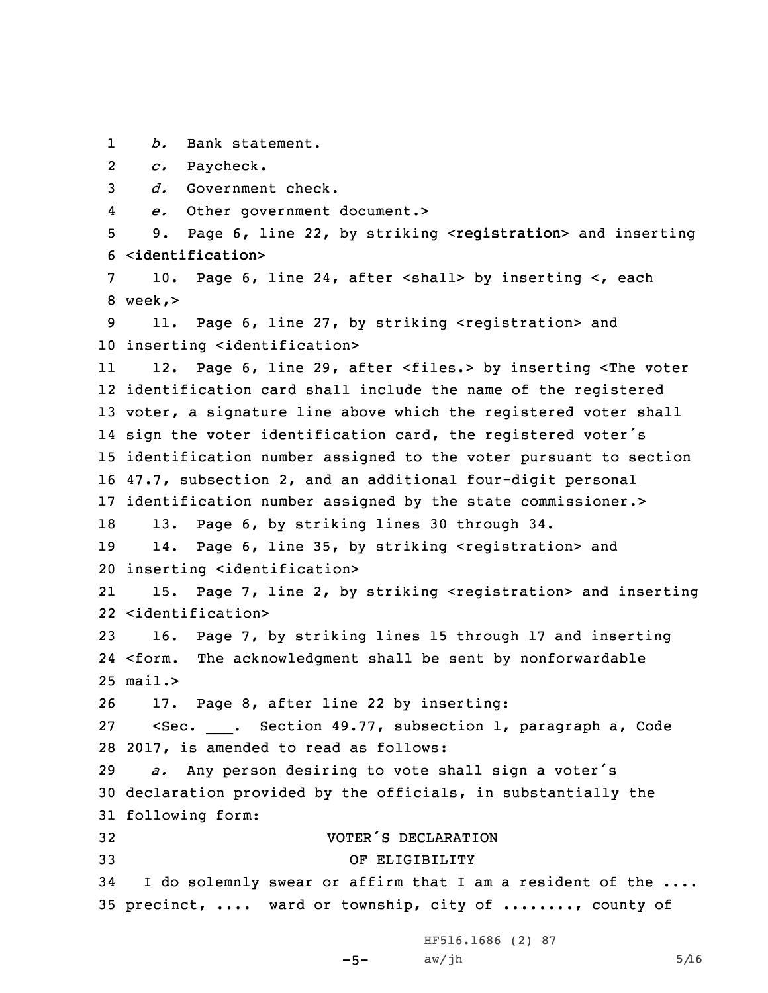1*b.* Bank statement.

2*c.* Paycheck.

3 *d.* Government check.

4*e.* Other government document.>

5 9. Page 6, line 22, by striking <sup>&</sup>lt;**registration**<sup>&</sup>gt; and inserting 6 <sup>&</sup>lt;**identification**<sup>&</sup>gt;

7 10. Page 6, line 24, after <shall> by inserting <, each 8 week,>

9 11. Page 6, line 27, by striking <registration> and 10 inserting <identification>

11 12. Page 6, line 29, after <files.> by inserting <The voter identification card shall include the name of the registered voter, <sup>a</sup> signature line above which the registered voter shall sign the voter identification card, the registered voter's identification number assigned to the voter pursuant to section 47.7, subsection 2, and an additional four-digit personal identification number assigned by the state commissioner.>

18 13. Page 6, by striking lines 30 through 34.

19 14. Page 6, line 35, by striking <registration> and 20 inserting <identification>

21 15. Page 7, line 2, by striking <registration> and inserting 22 <identification>

23 16. Page 7, by striking lines 15 through 17 and inserting 24 <form. The acknowledgment shall be sent by nonforwardable 25 mail.>

26 17. Page 8, after line 22 by inserting:

27 <Sec. \_\_\_. Section 49.77, subsection 1, paragraph a, Code 28 2017, is amended to read as follows:

<sup>29</sup> *a.* Any person desiring to vote shall sign <sup>a</sup> voter's 30 declaration provided by the officials, in substantially the 31 following form:

-5-

 VOTER'S DECLARATION OF ELIGIBILITY <sup>I</sup> do solemnly swear or affirm that <sup>I</sup> am <sup>a</sup> resident of the .... precinct, .... ward or township, city of ........, county of

> HF516.1686 (2) 87  $aw/jh$  5/16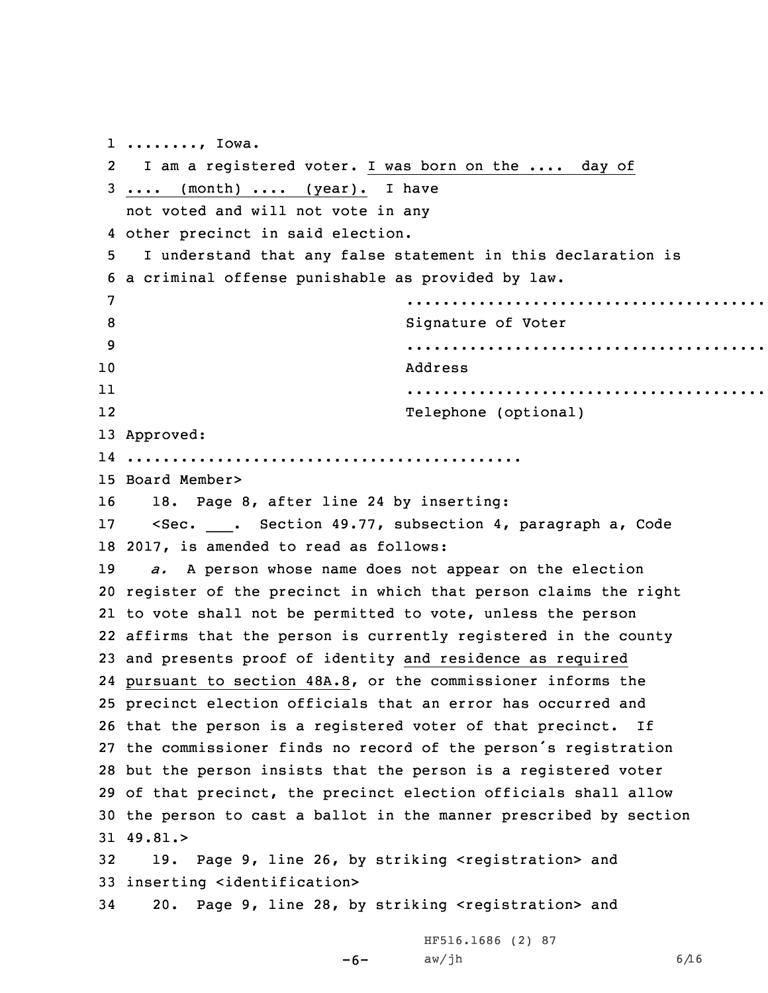........, Iowa. I am <sup>a</sup> registered voter. <sup>I</sup> was born on the .... day of .... (month) .... (year). I have not voted and will not vote in any other precinct in said election. <sup>I</sup> understand that any false statement in this declaration is <sup>a</sup> criminal offense punishable as provided by law. ............................................ 8 Signature of Voter ............................................ 10 Address 11 ............................................ 12 Telephone (optional) Approved: ............................................ Board Member> 18. Page 8, after line 24 by inserting: 17 < Sec. \_\_\_\_. Section 49.77, subsection 4, paragraph a, Code 2017, is amended to read as follows: *a.* <sup>A</sup> person whose name does not appear on the election register of the precinct in which that person claims the right to vote shall not be permitted to vote, unless the person affirms that the person is currently registered in the county and presents proof of identity and residence as required pursuant to section 48A.8, or the commissioner informs the precinct election officials that an error has occurred and that the person is <sup>a</sup> registered voter of that precinct. If the commissioner finds no record of the person's registration but the person insists that the person is <sup>a</sup> registered voter of that precinct, the precinct election officials shall allow the person to cast <sup>a</sup> ballot in the manner prescribed by section 31 49.81.> 19. Page 9, line 26, by striking <registration> and inserting <identification> 20. Page 9, line 28, by striking <registration> and

> $-6$ – aw/jh 6/16 HF516.1686 (2) 87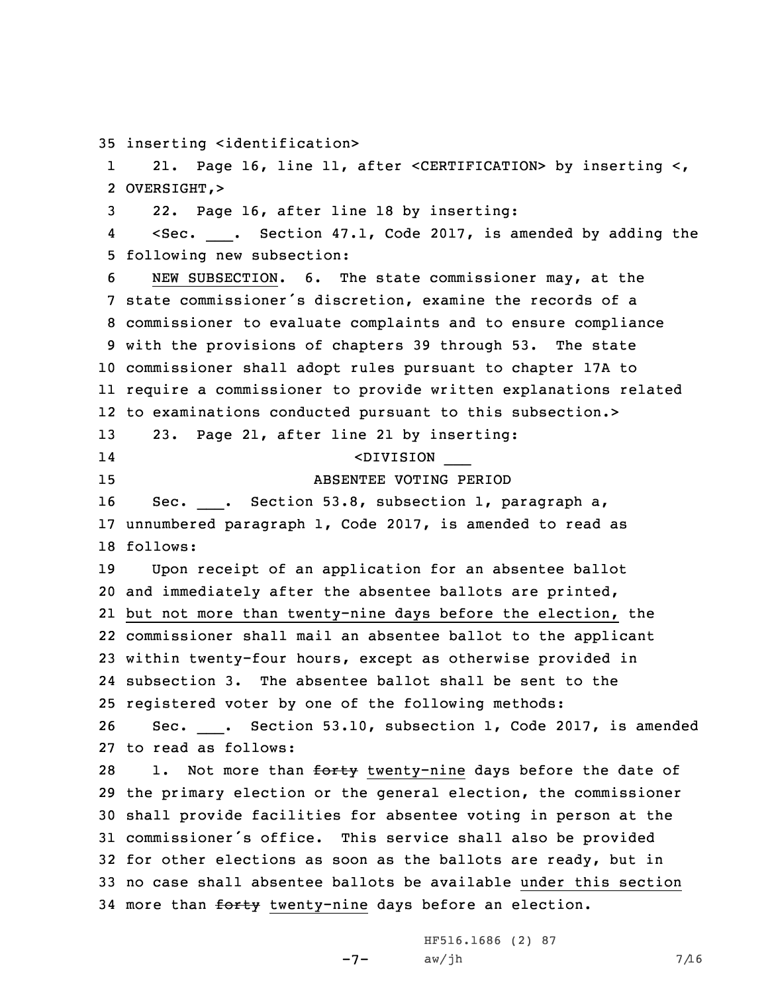35 inserting <identification>

1 21. Page 16, line 11, after <CERTIFICATION> by inserting <, 2 OVERSIGHT,>

3 22. Page 16, after line 18 by inserting:

44 <Sec. \_\_\_. Section 47.1, Code 2017, is amended by adding the 5 following new subsection:

 NEW SUBSECTION. 6. The state commissioner may, at the state commissioner's discretion, examine the records of <sup>a</sup> commissioner to evaluate complaints and to ensure compliance with the provisions of chapters 39 through 53. The state commissioner shall adopt rules pursuant to chapter 17A to require <sup>a</sup> commissioner to provide written explanations related to examinations conducted pursuant to this subsection.> 23. Page 21, after line 21 by inserting: 14 <DIVISION \_\_\_ ABSENTEE VOTING PERIOD 16 Sec. \_\_\_. Section 53.8, subsection 1, paragraph a, unnumbered paragraph 1, Code 2017, is amended to read as 18 follows: Upon receipt of an application for an absentee ballot and immediately after the absentee ballots are printed, but not more than twenty-nine days before the election, the commissioner shall mail an absentee ballot to the applicant within twenty-four hours, except as otherwise provided in subsection 3. The absentee ballot shall be sent to the registered voter by one of the following methods: 26 Sec. \_\_\_. Section 53.10, subsection 1, Code 2017, is amended to read as follows: 28 1. Not more than <del>forty</del> twenty-nine days before the date of the primary election or the general election, the commissioner

 shall provide facilities for absentee voting in person at the commissioner's office. This service shall also be provided for other elections as soon as the ballots are ready, but in no case shall absentee ballots be available under this section 34 more than forty twenty-nine days before an election.

> -7- HF516.1686 (2) 87  $aw/jh$  7/16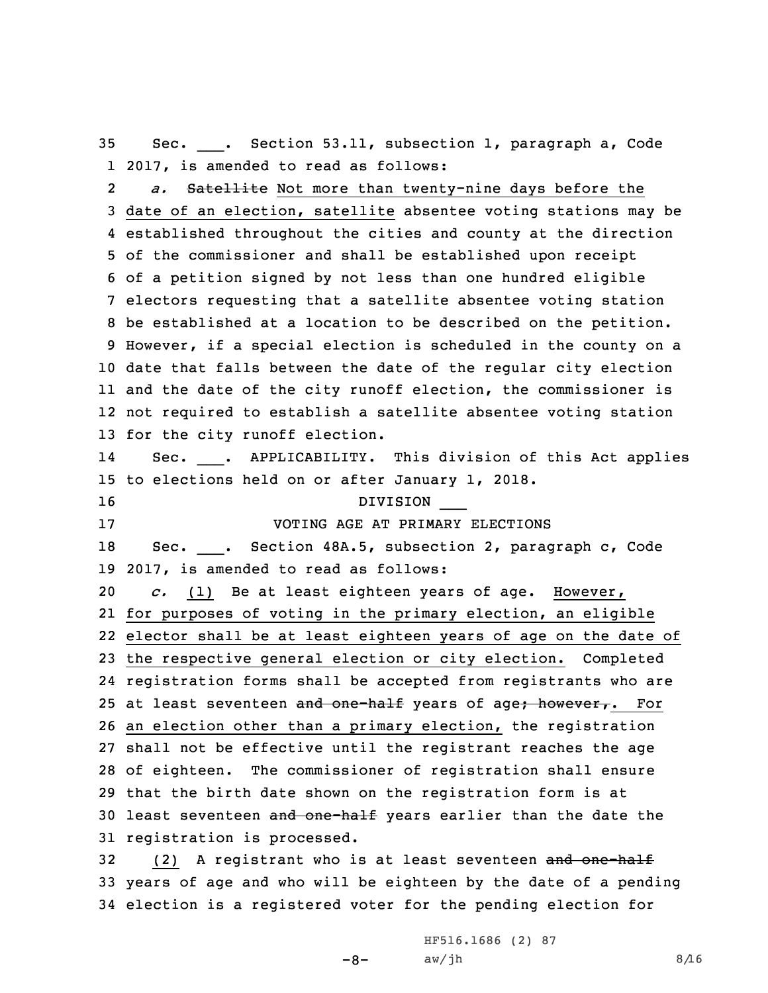35 Sec. Sec. . Section 53.11, subsection 1, paragraph a, Code 1 2017, is amended to read as follows:

2 *a.* Satellite Not more than twenty-nine days before the date of an election, satellite absentee voting stations may be established throughout the cities and county at the direction of the commissioner and shall be established upon receipt of <sup>a</sup> petition signed by not less than one hundred eligible electors requesting that <sup>a</sup> satellite absentee voting station be established at <sup>a</sup> location to be described on the petition. However, if <sup>a</sup> special election is scheduled in the county on <sup>a</sup> date that falls between the date of the regular city election and the date of the city runoff election, the commissioner is not required to establish <sup>a</sup> satellite absentee voting station for the city runoff election. 1414 Sec. \_\_\_. APPLICABILITY. This division of this Act applies to elections held on or after January 1, 2018.

16 DIVISION \_\_\_

17 VOTING AGE AT PRIMARY ELECTIONS

18 Sec. \_\_\_. Section 48A.5, subsection 2, paragraph c, Code 19 2017, is amended to read as follows:

 *c.* (1) Be at least eighteen years of age. However, for purposes of voting in the primary election, an eligible elector shall be at least eighteen years of age on the date of the respective general election or city election. Completed registration forms shall be accepted from registrants who are 25 at least seventeen and one-half years of age; however,. For an election other than <sup>a</sup> primary election, the registration shall not be effective until the registrant reaches the age of eighteen. The commissioner of registration shall ensure that the birth date shown on the registration form is at 30 least seventeen and one-half years earlier than the date the registration is processed.

32 (2) A registrant who is at least seventeen and one-half 33 years of age and who will be eighteen by the date of <sup>a</sup> pending 34 election is <sup>a</sup> registered voter for the pending election for

> -8- HF516.1686 (2) 87  $aw/jh$  8/16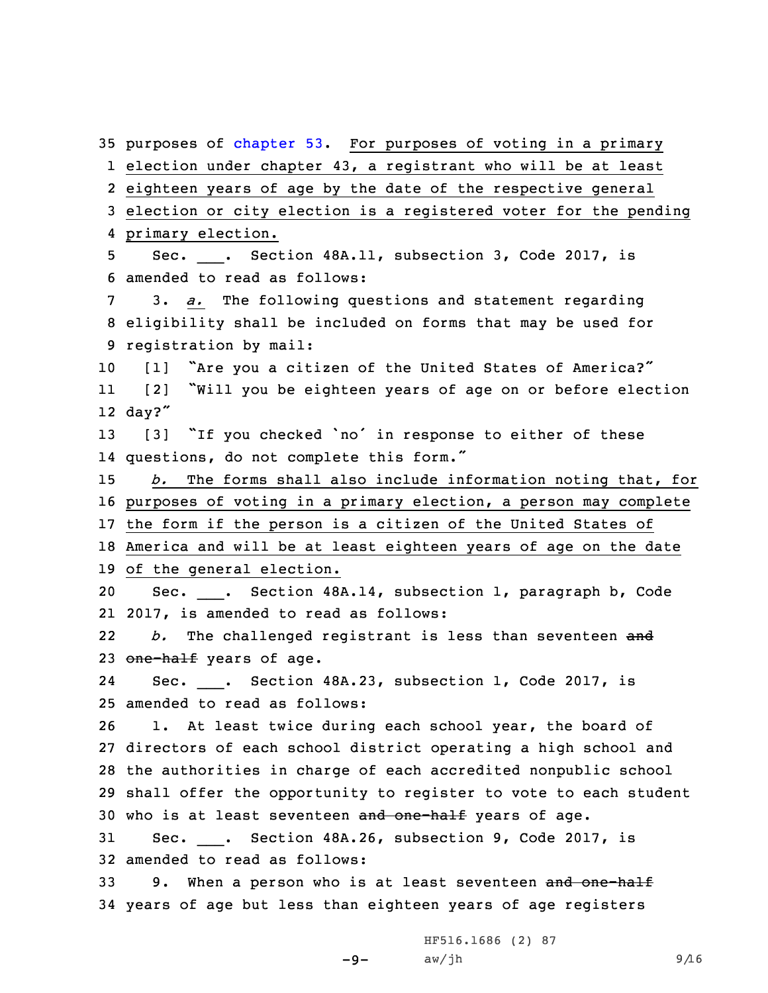35 purposes of [chapter](https://www.legis.iowa.gov/docs/code//53.pdf) 53. For purposes of voting in a primary election under chapter 43, <sup>a</sup> registrant who will be at least eighteen years of age by the date of the respective general election or city election is <sup>a</sup> registered voter for the pending primary election. 5 Sec. \_\_\_. Section 48A.11, subsection 3, Code 2017, is amended to read as follows: 3. *a.* The following questions and statement regarding eligibility shall be included on forms that may be used for registration by mail: [1] "Are you <sup>a</sup> citizen of the United States of America?" 11 [2] "Will you be eighteen years of age on or before election 12 day?" [3] "If you checked 'no' in response to either of these questions, do not complete this form." *b.* The forms shall also include information noting that, for purposes of voting in <sup>a</sup> primary election, <sup>a</sup> person may complete the form if the person is <sup>a</sup> citizen of the United States of America and will be at least eighteen years of age on the date of the general election. Sec. \_\_\_. Section 48A.14, subsection 1, paragraph b, Code 2017, is amended to read as follows: 22 *b.* The challenged registrant is less than seventeen and 23 one-half years of age. 2424 Sec. \_\_\_. Section 48A.23, subsection 1, Code 2017, is amended to read as follows: 1. At least twice during each school year, the board of directors of each school district operating <sup>a</sup> high school and the authorities in charge of each accredited nonpublic school shall offer the opportunity to register to vote to each student 30 who is at least seventeen and one-half years of age. Sec. \_\_\_. Section 48A.26, subsection 9, Code 2017, is amended to read as follows: 33 9. When a person who is at least seventeen and one-half years of age but less than eighteen years of age registers

> -9- HF516.1686 (2) 87  $aw/jh$  9/16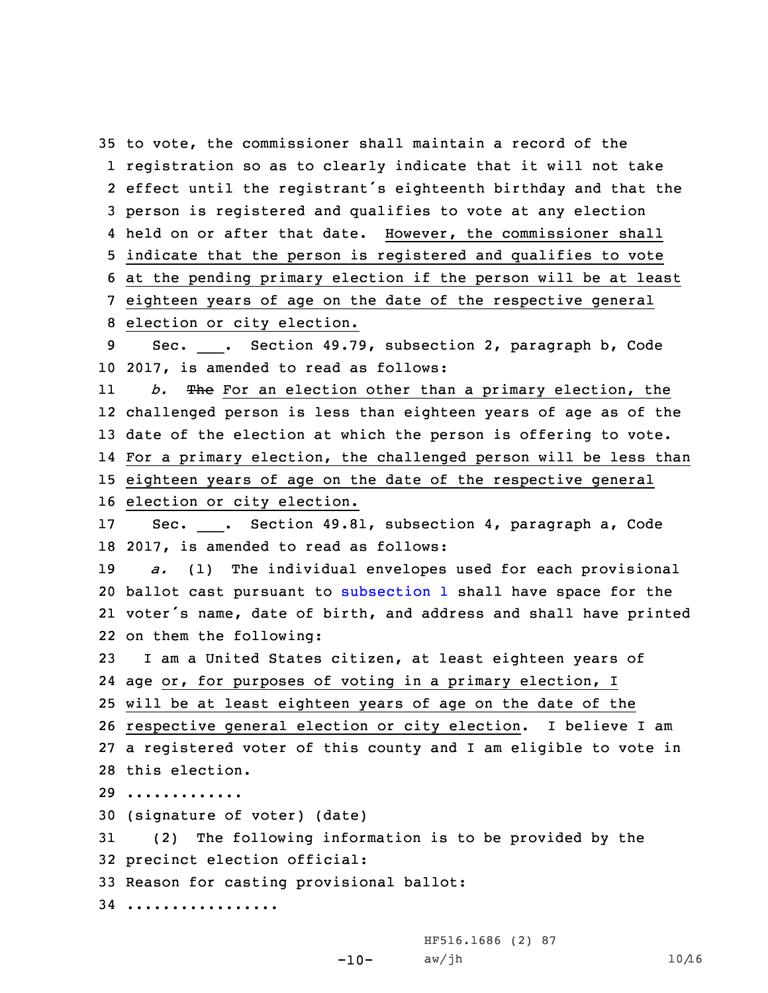to vote, the commissioner shall maintain <sup>a</sup> record of the registration so as to clearly indicate that it will not take effect until the registrant's eighteenth birthday and that the person is registered and qualifies to vote at any election held on or after that date. However, the commissioner shall indicate that the person is registered and qualifies to vote at the pending primary election if the person will be at least eighteen years of age on the date of the respective general election or city election. 9 Sec. \_\_\_. Section 49.79, subsection 2, paragraph b, Code 2017, is amended to read as follows: 11 *b.* The For an election other than <sup>a</sup> primary election, the challenged person is less than eighteen years of age as of the date of the election at which the person is offering to vote. For <sup>a</sup> primary election, the challenged person will be less than eighteen years of age on the date of the respective general election or city election. 17 Sec. \_\_\_. Section 49.81, subsection 4, paragraph a, Code 2017, is amended to read as follows: *a.* (1) The individual envelopes used for each provisional ballot cast pursuant to [subsection](https://www.legis.iowa.gov/docs/code/49.81.pdf) 1 shall have space for the voter's name, date of birth, and address and shall have printed on them the following: <sup>I</sup> am <sup>a</sup> United States citizen, at least eighteen years of age or, for purposes of voting in <sup>a</sup> primary election, <sup>I</sup> will be at least eighteen years of age on the date of the respective general election or city election. <sup>I</sup> believe <sup>I</sup> am <sup>a</sup> registered voter of this county and <sup>I</sup> am eligible to vote in this election. ............. (signature of voter) (date) (2) The following information is to be provided by the precinct election official: Reason for casting provisional ballot: .................

-10-

HF516.1686 (2) 87  $aw/jh$  10/16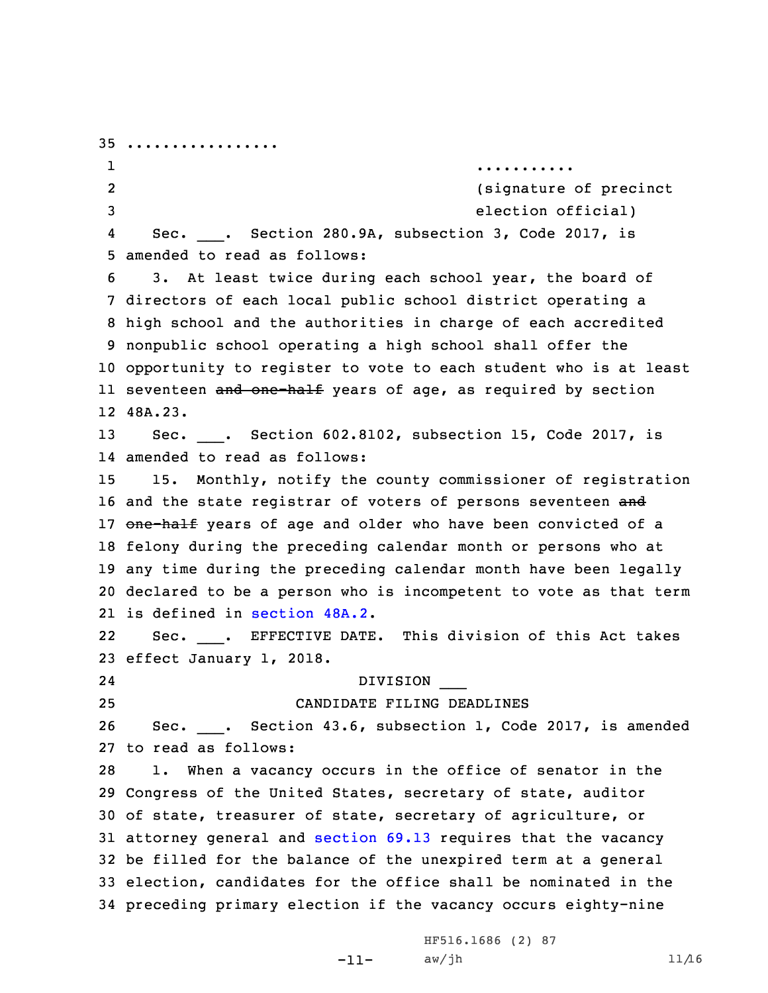................. 1 ........... 2 (signature of precinct election official) 4 Sec. \_\_\_. Section 280.9A, subsection 3, Code 2017, is amended to read as follows: 3. At least twice during each school year, the board of directors of each local public school district operating <sup>a</sup> high school and the authorities in charge of each accredited nonpublic school operating <sup>a</sup> high school shall offer the opportunity to register to vote to each student who is at least ll seventeen <del>and one-half</del> years of age, as required by section 12 48A.23. Sec. \_\_\_. Section 602.8102, subsection 15, Code 2017, is amended to read as follows: 15. Monthly, notify the county commissioner of registration 16 and the state registrar of voters of persons seventeen and 17 one-half years of age and older who have been convicted of a felony during the preceding calendar month or persons who at any time during the preceding calendar month have been legally declared to be <sup>a</sup> person who is incompetent to vote as that term is defined in [section](https://www.legis.iowa.gov/docs/code/48A.2.pdf) 48A.2. 2222 Sec. \_\_\_. EFFECTIVE DATE. This division of this Act takes effect January 1, 2018. 24 DIVISION \_\_\_ CANDIDATE FILING DEADLINES 26 Sec. \_\_\_. Section 43.6, subsection 1, Code 2017, is amended to read as follows: 1. When <sup>a</sup> vacancy occurs in the office of senator in the Congress of the United States, secretary of state, auditor of state, treasurer of state, secretary of agriculture, or attorney general and [section](https://www.legis.iowa.gov/docs/code/69.13.pdf) 69.13 requires that the vacancy be filled for the balance of the unexpired term at <sup>a</sup> general election, candidates for the office shall be nominated in the preceding primary election if the vacancy occurs eighty-nine

> -11- HF516.1686 (2) 87  $aw/jh$  11/16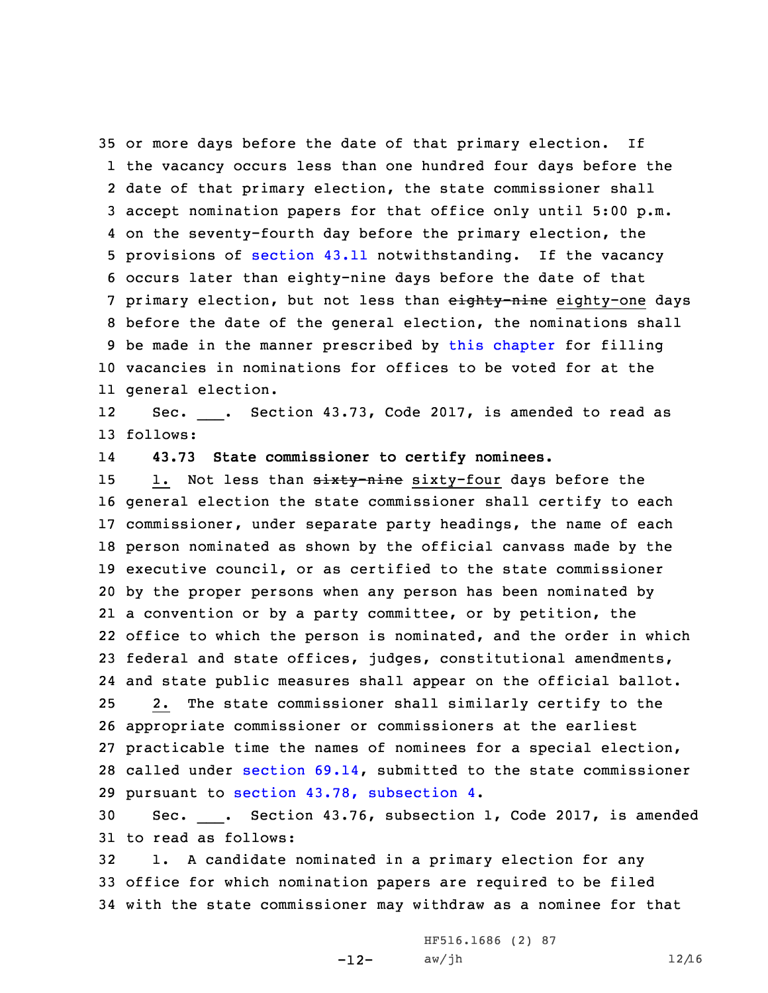or more days before the date of that primary election. If the vacancy occurs less than one hundred four days before the date of that primary election, the state commissioner shall accept nomination papers for that office only until 5:00 p.m. on the seventy-fourth day before the primary election, the provisions of [section](https://www.legis.iowa.gov/docs/code/43.11.pdf) 43.11 notwithstanding. If the vacancy occurs later than eighty-nine days before the date of that 7 primary election, but not less than eighty-nine eighty-one days before the date of the general election, the nominations shall be made in the manner prescribed by this [chapter](https://www.legis.iowa.gov/docs/code//43.pdf) for filling vacancies in nominations for offices to be voted for at the general election.

1212 Sec. \_\_\_. Section 43.73, Code 2017, is amended to read as 13 follows:

14**43.73 State commissioner to certify nominees.**

15 1. Not less than sixty-nine sixty-four days before the general election the state commissioner shall certify to each commissioner, under separate party headings, the name of each person nominated as shown by the official canvass made by the executive council, or as certified to the state commissioner by the proper persons when any person has been nominated by <sup>a</sup> convention or by <sup>a</sup> party committee, or by petition, the office to which the person is nominated, and the order in which federal and state offices, judges, constitutional amendments, and state public measures shall appear on the official ballot. 2. The state commissioner shall similarly certify to the appropriate commissioner or commissioners at the earliest practicable time the names of nominees for <sup>a</sup> special election, called under [section](https://www.legis.iowa.gov/docs/code/69.14.pdf) 69.14, submitted to the state commissioner pursuant to section 43.78, [subsection](https://www.legis.iowa.gov/docs/code/43.78.pdf) 4.

30 Sec. \_\_\_. Section 43.76, subsection 1, Code 2017, is amended 31 to read as follows:

32 1. <sup>A</sup> candidate nominated in <sup>a</sup> primary election for any 33 office for which nomination papers are required to be filed 34 with the state commissioner may withdraw as <sup>a</sup> nominee for that

> -12-HF516.1686 (2) 87  $aw/jh$  12/16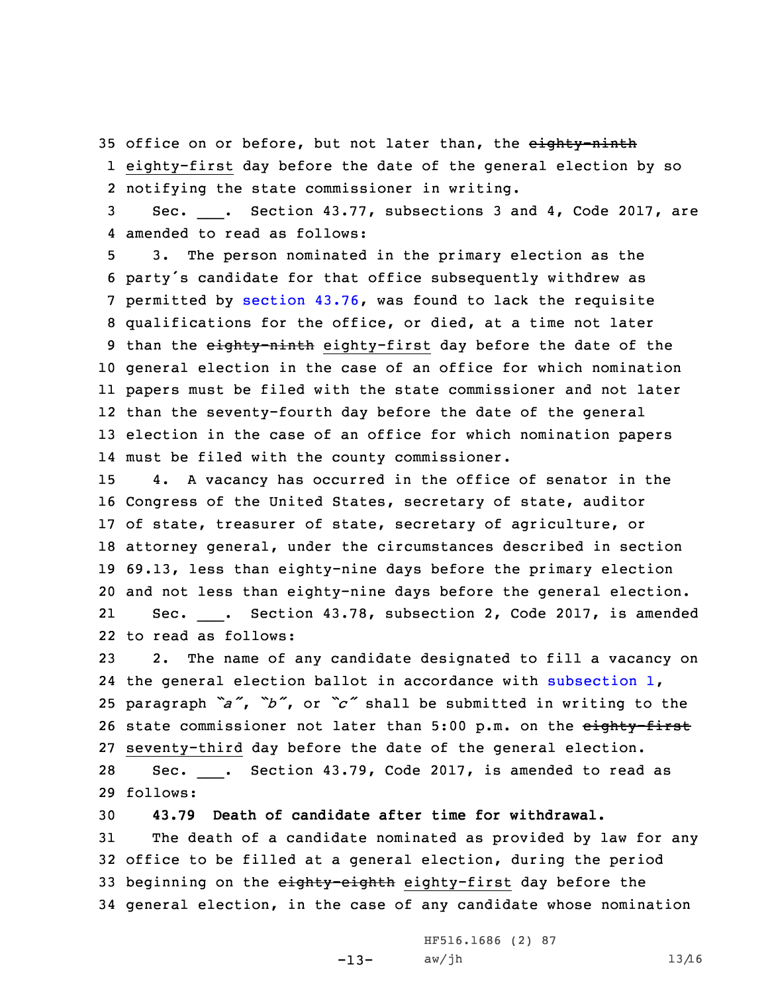35 office on or before, but not later than, the eighty-ninth 1 eighty-first day before the date of the general election by so 2 notifying the state commissioner in writing.

3 Sec. \_\_\_. Section 43.77, subsections 3 and 4, Code 2017, are 4 amended to read as follows:

 3. The person nominated in the primary election as the party's candidate for that office subsequently withdrew as permitted by [section](https://www.legis.iowa.gov/docs/code/43.76.pdf) 43.76, was found to lack the requisite qualifications for the office, or died, at <sup>a</sup> time not later 9 than the eighty-ninth eighty-first day before the date of the general election in the case of an office for which nomination papers must be filed with the state commissioner and not later than the seventy-fourth day before the date of the general election in the case of an office for which nomination papers must be filed with the county commissioner.

 4. <sup>A</sup> vacancy has occurred in the office of senator in the Congress of the United States, secretary of state, auditor of state, treasurer of state, secretary of agriculture, or attorney general, under the circumstances described in section 69.13, less than eighty-nine days before the primary election and not less than eighty-nine days before the general election. 2121 Sec. \_\_\_. Section 43.78, subsection 2, Code 2017, is amended to read as follows:

23 2. The name of any candidate designated to fill <sup>a</sup> vacancy on 24 the general election ballot in accordance with [subsection](https://www.legis.iowa.gov/docs/code/43.78.pdf) 1, <sup>25</sup> paragraph *"a"*, *"b"*, or *"c"* shall be submitted in writing to the 26 state commissioner not later than 5:00 p.m. on the eighty-first 27 seventy-third day before the date of the general election. 28 Sec. \_\_\_. Section 43.79, Code 2017, is amended to read as 29 follows:

 **43.79 Death of candidate after time for withdrawal.** The death of <sup>a</sup> candidate nominated as provided by law for any office to be filled at <sup>a</sup> general election, during the period 33 beginning on the eighty-eighth eighty-first day before the general election, in the case of any candidate whose nomination

> -13- HF516.1686 (2) 87  $aw/jh$  13/16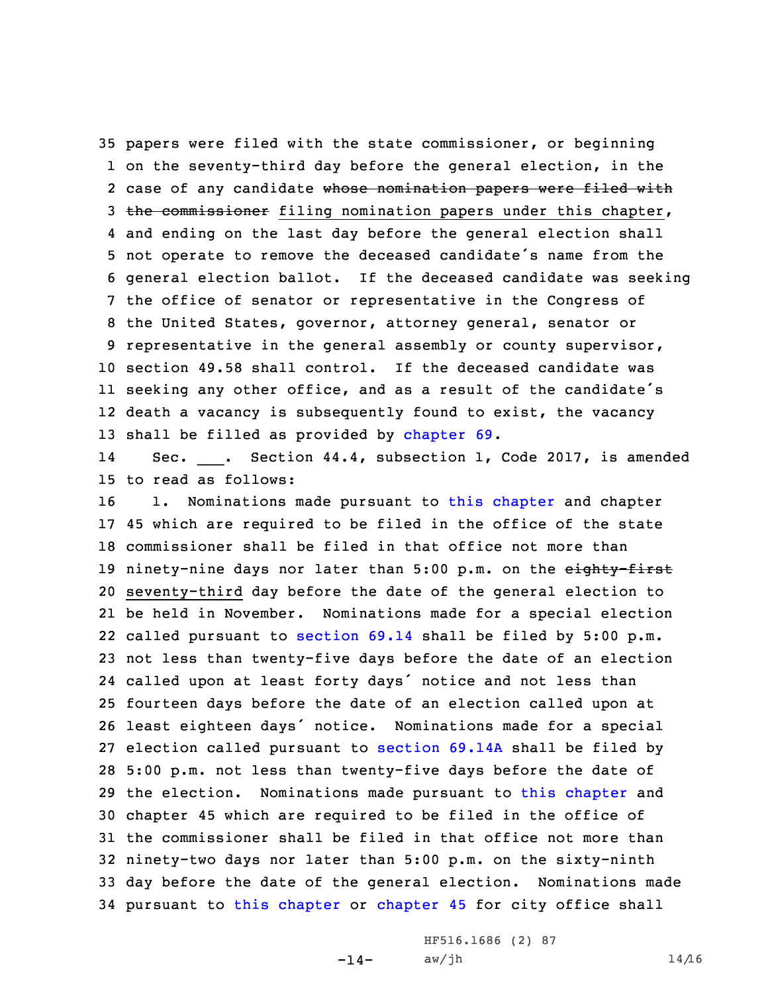papers were filed with the state commissioner, or beginning on the seventy-third day before the general election, in the 2 case of any candidate <del>whose nomination papers were filed with</del> 3 the commissioner filing nomination papers under this chapter, and ending on the last day before the general election shall not operate to remove the deceased candidate's name from the general election ballot. If the deceased candidate was seeking the office of senator or representative in the Congress of the United States, governor, attorney general, senator or representative in the general assembly or county supervisor, section 49.58 shall control. If the deceased candidate was seeking any other office, and as <sup>a</sup> result of the candidate's death <sup>a</sup> vacancy is subsequently found to exist, the vacancy shall be filled as provided by [chapter](https://www.legis.iowa.gov/docs/code//69.pdf) 69.

1414 Sec. \_\_\_. Section 44.4, subsection 1, Code 2017, is amended 15 to read as follows:

 1. Nominations made pursuant to this [chapter](https://www.legis.iowa.gov/docs/code//44.pdf) and chapter 45 which are required to be filed in the office of the state commissioner shall be filed in that office not more than 19 ninety-nine days nor later than 5:00 p.m. on the eighty-first seventy-third day before the date of the general election to be held in November. Nominations made for <sup>a</sup> special election called pursuant to [section](https://www.legis.iowa.gov/docs/code/69.14.pdf) 69.14 shall be filed by 5:00 p.m. not less than twenty-five days before the date of an election called upon at least forty days' notice and not less than fourteen days before the date of an election called upon at least eighteen days' notice. Nominations made for <sup>a</sup> special election called pursuant to [section](https://www.legis.iowa.gov/docs/code/69.14A.pdf) 69.14A shall be filed by 5:00 p.m. not less than twenty-five days before the date of the election. Nominations made pursuant to this [chapter](https://www.legis.iowa.gov/docs/code//44.pdf) and chapter 45 which are required to be filed in the office of the commissioner shall be filed in that office not more than ninety-two days nor later than 5:00 p.m. on the sixty-ninth day before the date of the general election. Nominations made pursuant to this [chapter](https://www.legis.iowa.gov/docs/code//44.pdf) or [chapter](https://www.legis.iowa.gov/docs/code//45.pdf) 45 for city office shall

> $-14-$ HF516.1686 (2) 87  $aw/jh$  14/16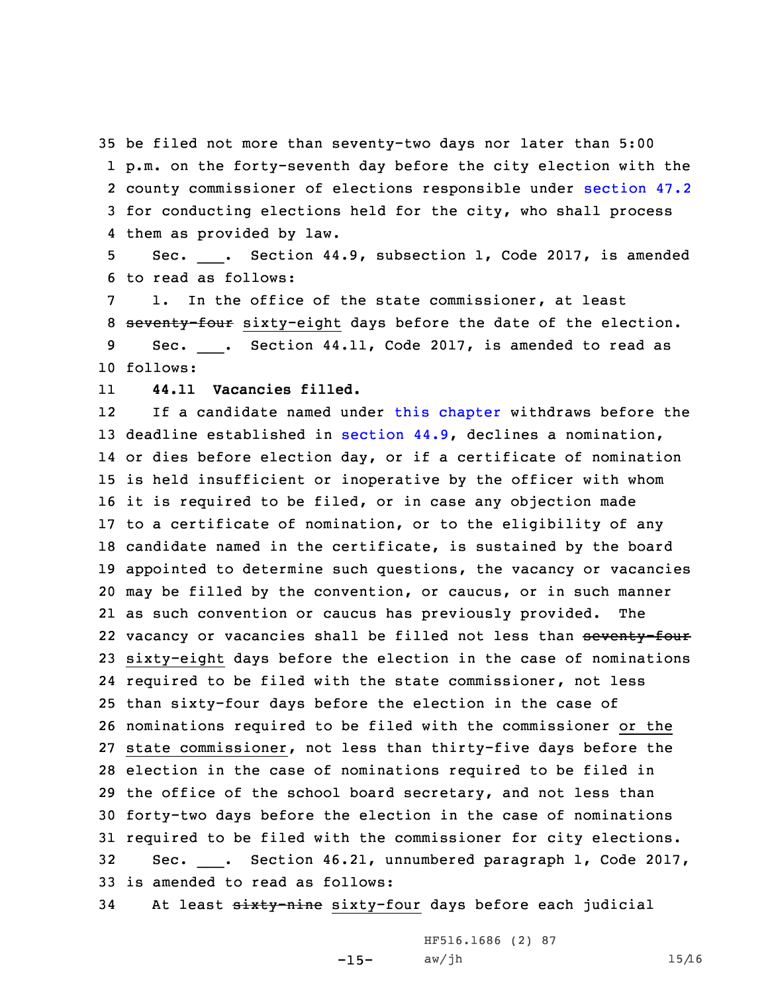be filed not more than seventy-two days nor later than 5:00 p.m. on the forty-seventh day before the city election with the county commissioner of elections responsible under [section](https://www.legis.iowa.gov/docs/code/47.2.pdf) 47.2 for conducting elections held for the city, who shall process them as provided by law.

5 Sec. <sub>\_\_\_\_</sub>. Section 44.9, subsection 1, Code 2017, is amended 6 to read as follows:

7 1. In the office of the state commissioner, at least 8 seventy-four sixty-eight days before the date of the election. 9 Sec. \_\_\_. Section 44.11, Code 2017, is amended to read as

10 follows:

11**44.11 Vacancies filled.**

12If a candidate named under this [chapter](https://www.legis.iowa.gov/docs/code//44.pdf) withdraws before the deadline established in [section](https://www.legis.iowa.gov/docs/code/44.9.pdf) 44.9, declines <sup>a</sup> nomination, or dies before election day, or if <sup>a</sup> certificate of nomination is held insufficient or inoperative by the officer with whom it is required to be filed, or in case any objection made to <sup>a</sup> certificate of nomination, or to the eligibility of any candidate named in the certificate, is sustained by the board appointed to determine such questions, the vacancy or vacancies may be filled by the convention, or caucus, or in such manner as such convention or caucus has previously provided. The 22 vacancy or vacancies shall be filled not less than <del>seventy-four</del> sixty-eight days before the election in the case of nominations required to be filed with the state commissioner, not less than sixty-four days before the election in the case of nominations required to be filed with the commissioner or the state commissioner, not less than thirty-five days before the election in the case of nominations required to be filed in the office of the school board secretary, and not less than forty-two days before the election in the case of nominations required to be filed with the commissioner for city elections. Sec. \_\_\_. Section 46.21, unnumbered paragraph 1, Code 2017, is amended to read as follows:

34 At least sixty-nine sixty-four days before each judicial

-15- aw/jh 15/16HF516.1686 (2) 87